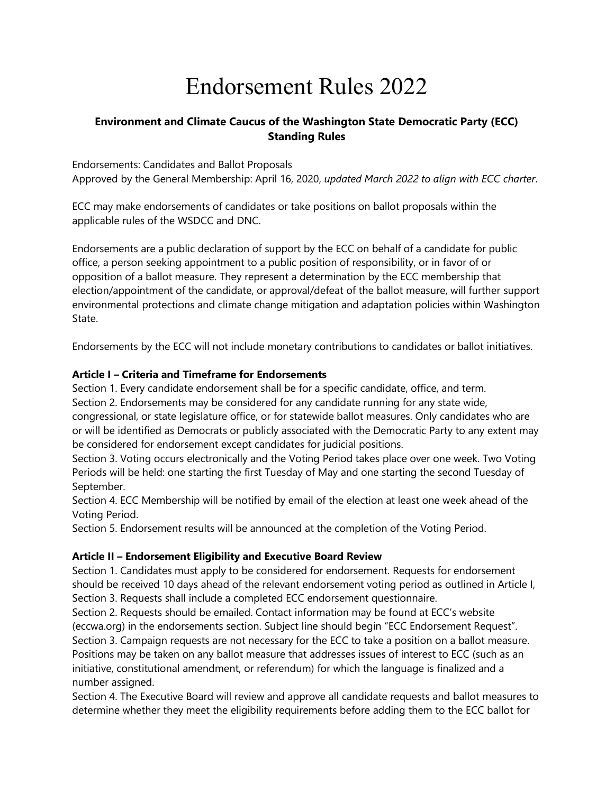# Endorsement Rules 2022

## **Environment and Climate Caucus of the Washington State Democratic Party (ECC) Standing Rules**

Endorsements: Candidates and Ballot Proposals Approved by the General Membership: April 16, 2020, *updated March 2022 to align with ECC charter*.

ECC may make endorsements of candidates or take positions on ballot proposals within the applicable rules of the WSDCC and DNC.

Endorsements are a public declaration of support by the ECC on behalf of a candidate for public office, a person seeking appointment to a public position of responsibility, or in favor of or opposition of a ballot measure. They represent a determination by the ECC membership that election/appointment of the candidate, or approval/defeat of the ballot measure, will further support environmental protections and climate change mitigation and adaptation policies within Washington State.

Endorsements by the ECC will not include monetary contributions to candidates or ballot initiatives.

### **Article I – Criteria and Timeframe for Endorsements**

Section 1. Every candidate endorsement shall be for a specific candidate, office, and term. Section 2. Endorsements may be considered for any candidate running for any state wide, congressional, or state legislature office, or for statewide ballot measures. Only candidates who are or will be identified as Democrats or publicly associated with the Democratic Party to any extent may be considered for endorsement except candidates for judicial positions.

Section 3. Voting occurs electronically and the Voting Period takes place over one week. Two Voting Periods will be held: one starting the first Tuesday of May and one starting the second Tuesday of September.

Section 4. ECC Membership will be notified by email of the election at least one week ahead of the Voting Period.

Section 5. Endorsement results will be announced at the completion of the Voting Period.

#### **Article II – Endorsement Eligibility and Executive Board Review**

Section 1. Candidates must apply to be considered for endorsement. Requests for endorsement should be received 10 days ahead of the relevant endorsement voting period as outlined in Article I, Section 3. Requests shall include a completed ECC endorsement questionnaire.

Section 2. Requests should be emailed. Contact information may be found at ECC's website (eccwa.org) in the endorsements section. Subject line should begin "ECC Endorsement Request". Section 3. Campaign requests are not necessary for the ECC to take a position on a ballot measure. Positions may be taken on any ballot measure that addresses issues of interest to ECC (such as an initiative, constitutional amendment, or referendum) for which the language is finalized and a number assigned.

Section 4. The Executive Board will review and approve all candidate requests and ballot measures to determine whether they meet the eligibility requirements before adding them to the ECC ballot for